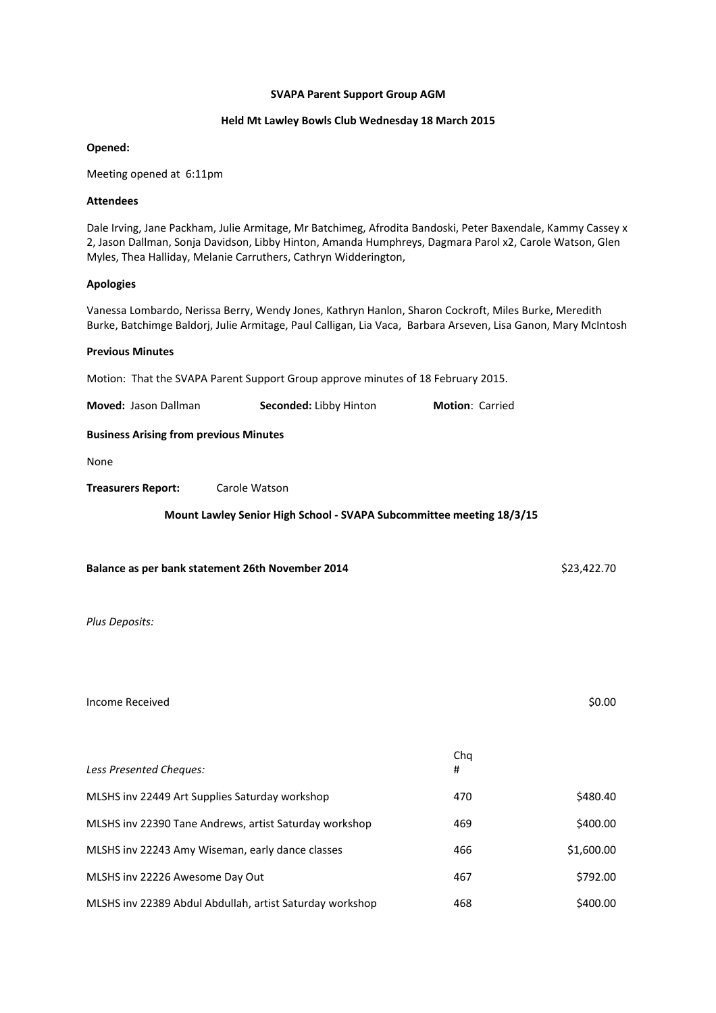#### **SVAPA Parent Support Group AGM**

#### **Held Mt Lawley Bowls Club Wednesday 18 March 2015**

#### **Opened:**

Meeting opened at 6:11pm

#### **Attendees**

Dale Irving, Jane Packham, Julie Armitage, Mr Batchimeg, Afrodita Bandoski, Peter Baxendale, Kammy Cassey x 2, Jason Dallman, Sonja Davidson, Libby Hinton, Amanda Humphreys, Dagmara Parol x2, Carole Watson, Glen Myles, Thea Halliday, Melanie Carruthers, Cathryn Widderington,

## **Apologies**

Vanessa Lombardo, Nerissa Berry, Wendy Jones, Kathryn Hanlon, Sharon Cockroft, Miles Burke, Meredith Burke, Batchimge Baldorj, Julie Armitage, Paul Calligan, Lia Vaca, Barbara Arseven, Lisa Ganon, Mary McIntosh

#### **Previous Minutes**

Motion: That the SVAPA Parent Support Group approve minutes of 18 February 2015.

| Moved: Jason Dallman                                                 | Seconded: Libby Hinton | <b>Motion: Carried</b> |  |  |
|----------------------------------------------------------------------|------------------------|------------------------|--|--|
| <b>Business Arising from previous Minutes</b>                        |                        |                        |  |  |
| None                                                                 |                        |                        |  |  |
| <b>Treasurers Report:</b>                                            | Carole Watson          |                        |  |  |
| Mount Lawley Senior High School - SVAPA Subcommittee meeting 18/3/15 |                        |                        |  |  |

**Balance as per bank statement 26th November 2014** \$23,422.70

*Plus Deposits:*

Income Received \$0.00

| Less Presented Cheques:                                  | Cha<br># |            |
|----------------------------------------------------------|----------|------------|
| MLSHS inv 22449 Art Supplies Saturday workshop           | 470      | \$480.40   |
| MLSHS inv 22390 Tane Andrews, artist Saturday workshop   | 469      | \$400.00   |
| MLSHS inv 22243 Amy Wiseman, early dance classes         | 466      | \$1,600.00 |
| MLSHS inv 22226 Awesome Day Out                          | 467      | \$792.00   |
| MLSHS inv 22389 Abdul Abdullah, artist Saturday workshop | 468      | \$400.00   |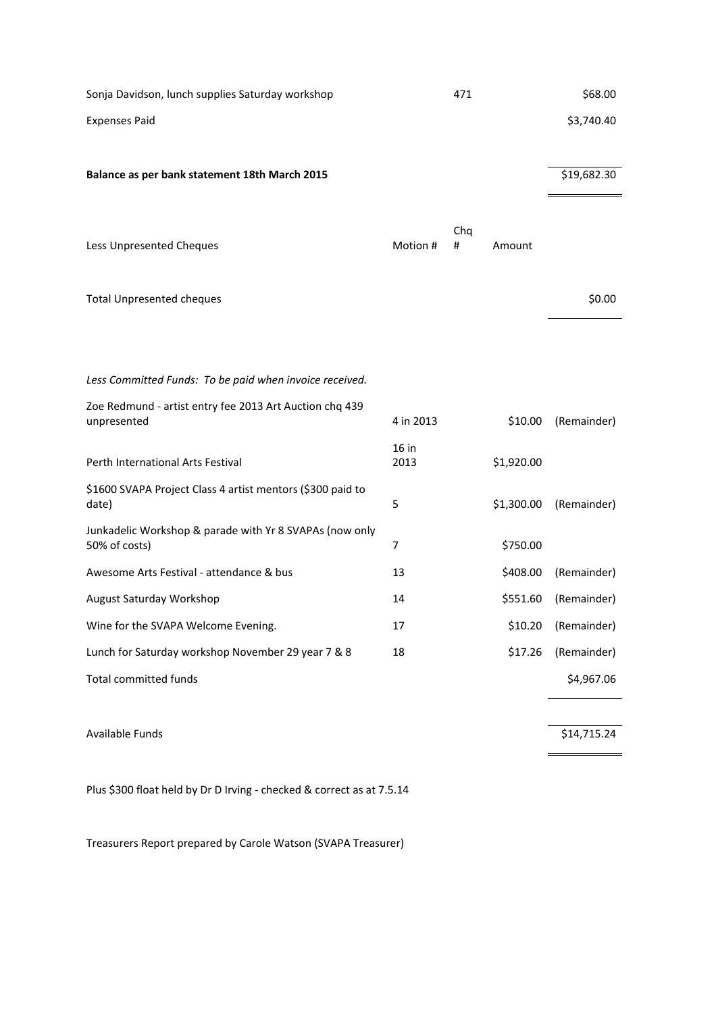| Sonja Davidson, lunch supplies Saturday workshop                         |                 | 471      |            | \$68.00     |
|--------------------------------------------------------------------------|-----------------|----------|------------|-------------|
| <b>Expenses Paid</b>                                                     |                 |          |            | \$3,740.40  |
|                                                                          |                 |          |            |             |
| Balance as per bank statement 18th March 2015                            |                 |          |            | \$19,682.30 |
|                                                                          |                 |          |            |             |
| Less Unpresented Cheques                                                 | Motion #        | Chq<br># | Amount     |             |
|                                                                          |                 |          |            |             |
| <b>Total Unpresented cheques</b>                                         |                 |          |            | \$0.00      |
|                                                                          |                 |          |            |             |
|                                                                          |                 |          |            |             |
| Less Committed Funds: To be paid when invoice received.                  |                 |          |            |             |
| Zoe Redmund - artist entry fee 2013 Art Auction chq 439                  |                 |          |            |             |
| unpresented                                                              | 4 in 2013       |          | \$10.00    | (Remainder) |
| Perth International Arts Festival                                        | $16$ in<br>2013 |          | \$1,920.00 |             |
| \$1600 SVAPA Project Class 4 artist mentors (\$300 paid to<br>date)      | 5               |          | \$1,300.00 | (Remainder) |
|                                                                          |                 |          |            |             |
| Junkadelic Workshop & parade with Yr 8 SVAPAs (now only<br>50% of costs) | 7               |          | \$750.00   |             |
| Awesome Arts Festival - attendance & bus                                 | 13              |          | \$408.00   | (Remainder) |
| August Saturday Workshop                                                 | 14              |          | \$551.60   | (Remainder) |
| Wine for the SVAPA Welcome Evening.                                      | 17              |          | \$10.20    | (Remainder) |
| Lunch for Saturday workshop November 29 year 7 & 8                       | 18              |          | \$17.26    | (Remainder) |
| <b>Total committed funds</b>                                             |                 |          |            | \$4,967.06  |
|                                                                          |                 |          |            |             |
| Available Funds                                                          |                 |          |            | \$14,715.24 |
|                                                                          |                 |          |            |             |

Plus \$300 float held by Dr D Irving ‐ checked & correct as at 7.5.14

Treasurers Report prepared by Carole Watson (SVAPA Treasurer)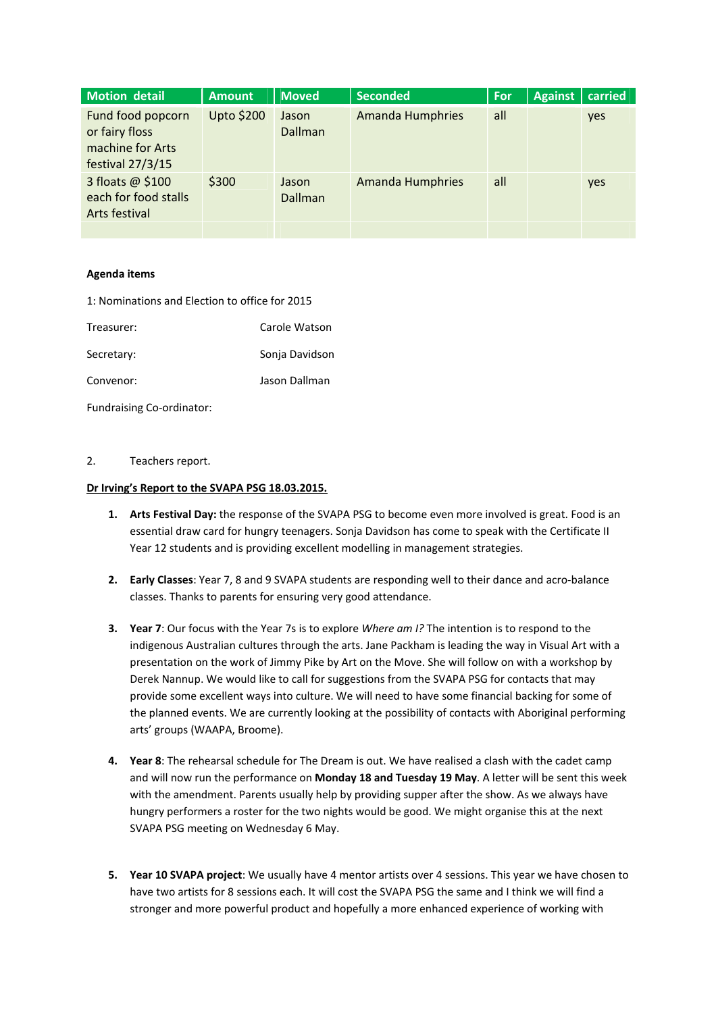| <b>Motion detail</b>                                                          | <b>Amount</b>     | <b>Moved</b>            | <b>Seconded</b>         | For | <b>Against</b> | carried |
|-------------------------------------------------------------------------------|-------------------|-------------------------|-------------------------|-----|----------------|---------|
| Fund food popcorn<br>or fairy floss<br>machine for Arts<br>festival $27/3/15$ | <b>Upto \$200</b> | Jason<br><b>Dallman</b> | <b>Amanda Humphries</b> | all |                | yes     |
| 3 floats @ \$100<br>each for food stalls<br>Arts festival                     | \$300             | Jason<br><b>Dallman</b> | <b>Amanda Humphries</b> | all |                | yes     |
|                                                                               |                   |                         |                         |     |                |         |

# **Agenda items**

| 1: Nominations and Election to office for 2015 |  |  |  |
|------------------------------------------------|--|--|--|
|------------------------------------------------|--|--|--|

| Treasurer:                | Carole Watson  |
|---------------------------|----------------|
| Secretary:                | Sonja Davidson |
| Convenor:                 | Jason Dallman  |
| Fundraising Co-ordinator: |                |

## 2. Teachers report.

## **Dr Irving's Report to the SVAPA PSG 18.03.2015.**

- **1. Arts Festival Day:** the response of the SVAPA PSG to become even more involved is great. Food is an essential draw card for hungry teenagers. Sonja Davidson has come to speak with the Certificate II Year 12 students and is providing excellent modelling in management strategies.
- **2. Early Classes**: Year 7, 8 and 9 SVAPA students are responding well to their dance and acro‐balance classes. Thanks to parents for ensuring very good attendance.
- **3. Year 7**: Our focus with the Year 7s is to explore *Where am I?* The intention is to respond to the indigenous Australian cultures through the arts. Jane Packham is leading the way in Visual Art with a presentation on the work of Jimmy Pike by Art on the Move. She will follow on with a workshop by Derek Nannup. We would like to call for suggestions from the SVAPA PSG for contacts that may provide some excellent ways into culture. We will need to have some financial backing for some of the planned events. We are currently looking at the possibility of contacts with Aboriginal performing arts' groups (WAAPA, Broome).
- **4. Year 8**: The rehearsal schedule for The Dream is out. We have realised a clash with the cadet camp and will now run the performance on **Monday 18 and Tuesday 19 May**. A letter will be sent this week with the amendment. Parents usually help by providing supper after the show. As we always have hungry performers a roster for the two nights would be good. We might organise this at the next SVAPA PSG meeting on Wednesday 6 May.
- **5. Year 10 SVAPA project**: We usually have 4 mentor artists over 4 sessions. This year we have chosen to have two artists for 8 sessions each. It will cost the SVAPA PSG the same and I think we will find a stronger and more powerful product and hopefully a more enhanced experience of working with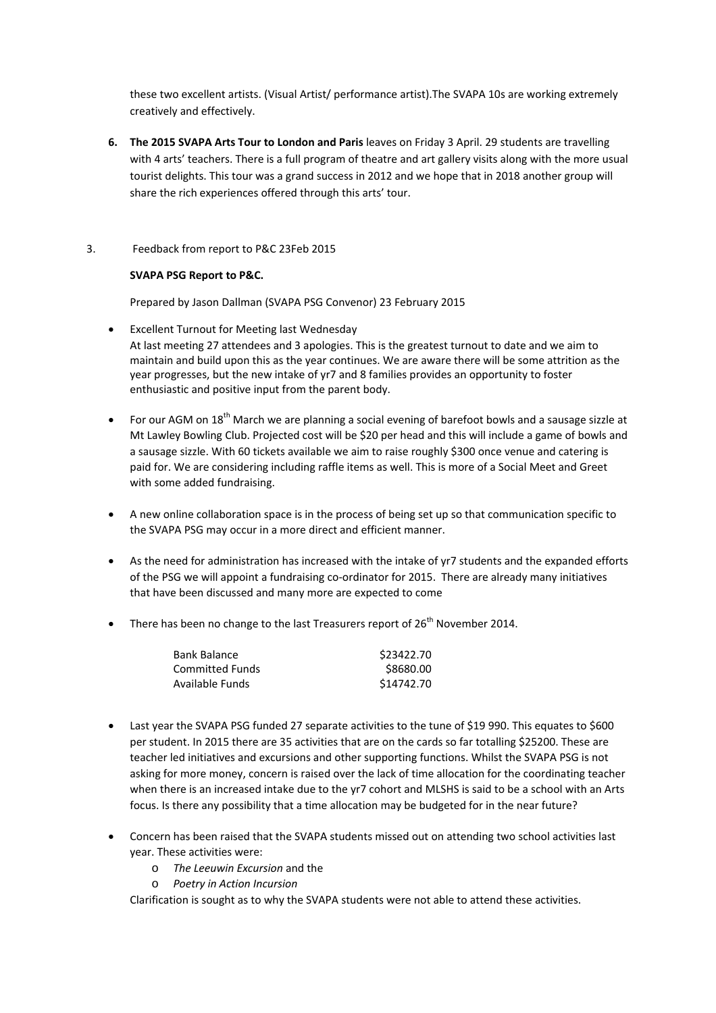these two excellent artists. (Visual Artist/ performance artist).The SVAPA 10s are working extremely creatively and effectively.

**6. The 2015 SVAPA Arts Tour to London and Paris** leaves on Friday 3 April. 29 students are travelling with 4 arts' teachers. There is a full program of theatre and art gallery visits along with the more usual tourist delights. This tour was a grand success in 2012 and we hope that in 2018 another group will share the rich experiences offered through this arts' tour.

# 3. Feedback from report to P&C 23Feb 2015

# **SVAPA PSG Report to P&C.**

Prepared by Jason Dallman (SVAPA PSG Convenor) 23 February 2015

- Excellent Turnout for Meeting last Wednesday At last meeting 27 attendees and 3 apologies. This is the greatest turnout to date and we aim to maintain and build upon this as the year continues. We are aware there will be some attrition as the year progresses, but the new intake of yr7 and 8 families provides an opportunity to foster enthusiastic and positive input from the parent body.
- For our AGM on 18<sup>th</sup> March we are planning a social evening of barefoot bowls and a sausage sizzle at Mt Lawley Bowling Club. Projected cost will be \$20 per head and this will include a game of bowls and a sausage sizzle. With 60 tickets available we aim to raise roughly \$300 once venue and catering is paid for. We are considering including raffle items as well. This is more of a Social Meet and Greet with some added fundraising.
- A new online collaboration space is in the process of being set up so that communication specific to the SVAPA PSG may occur in a more direct and efficient manner.
- As the need for administration has increased with the intake of yr7 students and the expanded efforts of the PSG we will appoint a fundraising co-ordinator for 2015. There are already many initiatives that have been discussed and many more are expected to come
- There has been no change to the last Treasurers report of  $26<sup>th</sup>$  November 2014.

| Bank Balance    | \$23422.70 |
|-----------------|------------|
| Committed Funds | \$8680.00  |
| Available Funds | \$14742.70 |

- Last year the SVAPA PSG funded 27 separate activities to the tune of \$19 990. This equates to \$600 per student. In 2015 there are 35 activities that are on the cards so far totalling \$25200. These are teacher led initiatives and excursions and other supporting functions. Whilst the SVAPA PSG is not asking for more money, concern is raised over the lack of time allocation for the coordinating teacher when there is an increased intake due to the yr7 cohort and MLSHS is said to be a school with an Arts focus. Is there any possibility that a time allocation may be budgeted for in the near future?
- Concern has been raised that the SVAPA students missed out on attending two school activities last year. These activities were:
	- o *The Leeuwin Excursion* and the
	- o *Poetry in Action Incursion*

Clarification is sought as to why the SVAPA students were not able to attend these activities.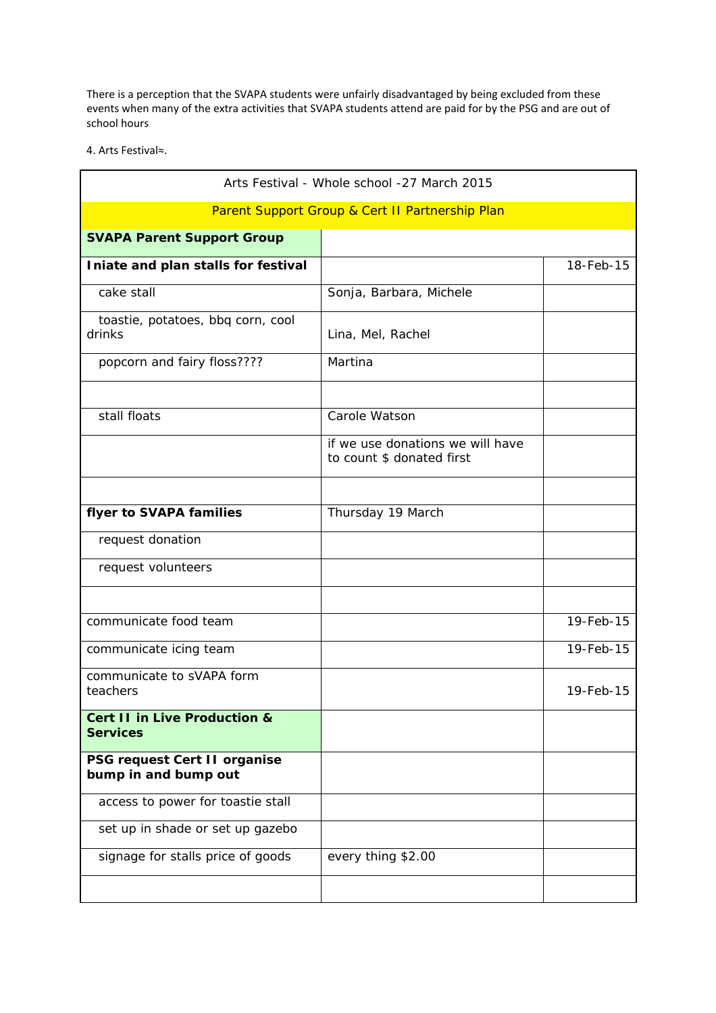There is a perception that the SVAPA students were unfairly disadvantaged by being excluded from these events when many of the extra activities that SVAPA students attend are paid for by the PSG and are out of school hours

4. Arts Festival≈.

| Arts Festival - Whole school -27 March 2015                |                                                               |           |  |  |
|------------------------------------------------------------|---------------------------------------------------------------|-----------|--|--|
| Parent Support Group & Cert II Partnership Plan            |                                                               |           |  |  |
| <b>SVAPA Parent Support Group</b>                          |                                                               |           |  |  |
| Iniate and plan stalls for festival                        |                                                               | 18-Feb-15 |  |  |
| cake stall                                                 | Sonja, Barbara, Michele                                       |           |  |  |
| toastie, potatoes, bbq corn, cool<br>drinks                | Lina, Mel, Rachel                                             |           |  |  |
| popcorn and fairy floss????                                | Martina                                                       |           |  |  |
| stall floats                                               | Carole Watson                                                 |           |  |  |
|                                                            | if we use donations we will have<br>to count \$ donated first |           |  |  |
| flyer to SVAPA families                                    | Thursday 19 March                                             |           |  |  |
| request donation                                           |                                                               |           |  |  |
| request volunteers                                         |                                                               |           |  |  |
| communicate food team                                      |                                                               | 19-Feb-15 |  |  |
| communicate icing team                                     |                                                               | 19-Feb-15 |  |  |
| communicate to sVAPA form<br>teachers                      |                                                               | 19-Feb-15 |  |  |
| <b>Cert II in Live Production &amp;</b><br><b>Services</b> |                                                               |           |  |  |
| PSG request Cert II organise<br>bump in and bump out       |                                                               |           |  |  |
| access to power for toastie stall                          |                                                               |           |  |  |
| set up in shade or set up gazebo                           |                                                               |           |  |  |
| signage for stalls price of goods                          | every thing \$2.00                                            |           |  |  |
|                                                            |                                                               |           |  |  |